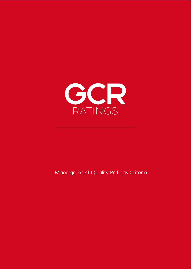

# Management Quality Ratings Criteria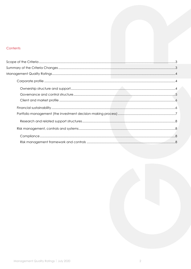### Contents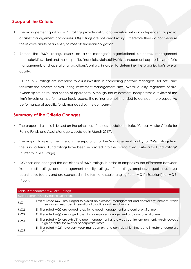# <span id="page-2-0"></span>**Scope of the Criteria**

- 1. The management quality ('MQ') ratings provide institutional investors with an independent appraisal of asset management companies. MQ ratings are not credit ratings, therefore they do not measure the relative ability of an entity to meet its financial obligations.
- 2. Rather, the 'MQ' ratings assess an asset manager's organisational structures, management characteristics, client and market profile, financial sustainability, risk management capabilities, portfolio management, and operational practices/controls, in order to determine the organisation's overall quality.
- 3. GCR's 'MQ' ratings are intended to assist investors in comparing portfolio managers' skill sets, and facilitate the process of evaluating investment management firms' overall quality, regardless of size, ownership structure, and scope of operations. Although the assessment incorporates a review of the firm's investment performance track record, the ratings are not intended to consider the prospective performance of specific funds managed by the company.

# <span id="page-2-1"></span>**Summary of the Criteria Changes**

- 4. The proposed criteria is based on the principles of the last updated criteria, 'Global Master Criteria for Rating Funds and Asset Managers, updated in March 2017'.
- 5. The major change to the criteria is the separation of the 'management quality' or 'MQ' ratings from the Fund criteria. Fund ratings have been separated into the criteria titled 'Criteria for Fund Ratings' (currently in RFC stage).
- 6. GCR has also changed the definitions of 'MQ' ratings, in order to emphasize the difference between issuer credit ratings and management quality ratings. The ratings emphasize qualitative over quantitative factors and are expressed in the form of a scale ranging from 'MQ1' (Excellent) to 'MQ5' (Poor).

| Table 1: Management Quality Ratings          |                                                                                                                                                                |  |  |  |
|----------------------------------------------|----------------------------------------------------------------------------------------------------------------------------------------------------------------|--|--|--|
| <b>Management Quality Rating Definitions</b> |                                                                                                                                                                |  |  |  |
| MQ1                                          | Entities rated MQ1 are judged to exhibit an excellent management and control environment, which<br>meets or exceeds best international practice and benchmarks |  |  |  |
| MQ2                                          | Entities rated MQ2 are judged to exhibit a good management and control environment.                                                                            |  |  |  |
| MQ3                                          | Entities rated MQ3 are judged to exhibit adequate management and control environment.                                                                          |  |  |  |
| MQ4                                          | Entities rated MQ4 are exhibiting poor management and a weak control environment, which leaves a<br>high potential for investor or corporate losses.           |  |  |  |
| MQ5                                          | Entities rated MQ5 have very weak management and controls which has led to investor or corporate<br>loss.                                                      |  |  |  |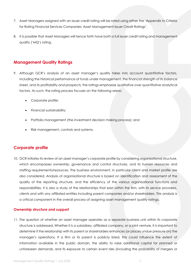- 7. Asset Managers assigned with an issuer credit rating will be rated using either the 'Appendix to Criteria for Rating Financial Services Companies: Asset Management Issuer Credit Ratings'.
- 8. It is possible that Asset Managers will hence forth have both a full issuer credit rating and management quality ('MQ') rating.

### <span id="page-3-0"></span>**Management Quality Ratings**

- 9. Although GCR's analysis of an asset manager's quality takes into account quantitative factors, including the historical performance of funds under management, the financial strength of its balance sheet, and its profitability and prospects, the ratings emphasize qualitative over quantitative analytical factors. As such, the rating process focuses on the following areas:
	- Corporate profile;
	- Financial sustainability;
	- Portfolio management (the investment decision making process); and
	- Risk management, controls and systems.

## <span id="page-3-1"></span>**Corporate profile**

10. GCR initiates its review of an asset manager's corporate profile by considering organisational structure, which encompasses ownership, governance and control structures, and its human resources and staffing requirements/resources. The business environment, in particular client and market profile are also considered. Analysis of organisational structure is based on identification and assessment of the quality of the reporting structure, and the efficiency of the various organisational functions and responsibilities. It is also a study of the relationships that exist within the firm, with its service providers, clients and with any affiliated entities including parent companies and/or shareholders. This analysis is a critical component in the overall process of assigning asset management quality ratings.

### <span id="page-3-2"></span>**Ownership structure and support**

11. The question of whether an asset manager operates as a separate business unit within its corporate structure is addressed. Whether it is a subsidiary, affiliated company, or a joint venture, it is important to determine if the relationship with its parent or shareholders enhances (or places undue pressure on) the manager's operations. If a firm or its parent is publicly listed, this could influence the extent of information available in the public domain, the ability to raise additional capital for planned or unforeseen demands, and its exposure to certain event risks (including the probability of mergers or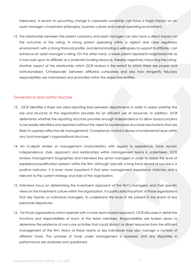takeovers). A recent or upcoming change in corporate ownership can have a major impact on an asset manager's investment philosophy, business culture and overall operating environment.

12. The relationship between the parent company and asset manager can also have a direct impact on the outcome of the rating. A strong parent operating within a vigilant and clear regulatory environment, with a strong financial profile, and demonstrating a willingness to support its affiliates, can enhance an asset manager's rating. On the other hand, a weak parent represents heightened risk as it may look upon its affiliates as a potential funding resource, thereby negatively impacting the rating. Another aspect of the relationship which GCR reviews is the extent to which there are proper and institutionalised 'Chinesewalls' between affiliated companies and also how stringently fiduciary responsibilities are maintained and promoted within the respective entities.

#### <span id="page-4-0"></span>Governance and control structure

- 13. , GCR identifies if there are clear reporting lines between departments in order to assess whether the size and structure of the organisation provides for an efficient use of resources. In addition, GCR determines whether the reporting structure provides enough independence to allow issues/concerns to be readily identified and reported (without the need for burdensome structural mechanisms that are likely to suppress effective risk management). Compliance control is always a fundamental issue within any fund manager's organisational structure.
- 14. An in-depth review of management characteristics with regard to experience, track record, independence, style, approach and relationships within management teams is undertaken. GCR reviews management biographies and interviews key senior managers in order to assess the level of experience/qualification present within the firm. Although typically a long track record of success is a positive indicator, it is even more important if that prior management experience matches and is relevant to the current strategy and style of the organisation.
- 15. Interviews focus on determining the investment approach of the firm's managers, and their specific views on the investment culture within the organisation. It is particularly important, in those organisations that rely heavily on individual managers, to understand the level of risk present in the event of key personnel departures.
- 16. For those organisations which operate with a more team-based approach, GCR discusses in detail the functions and responsibilities of each of the team members. Responsibilities are broken down to determine the existence of non-core activities that could distract or divert resources from the efficient management of the firm. Many of these teams or key individuals may also manage a number of different funds. The universe of funds under management is assessed, and any disparities in performance are analysed and questioned.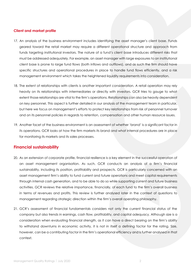### <span id="page-5-0"></span>**Client and market profile**

- 17. An analysis of the business environment includes identifying the asset manager's client base. Funds geared toward the retail market may require a different operational structure and approach from funds targeting institutional investors. The nature of a fund's client base introduces different risks that must be addressed adequately. For example, an asset manager with large exposures to an institutional client base is prone to large fund flows (both inflows and outflows), and as such the firm should have specific structures and operational procedures in place to handle fund flows efficiently, and a risk management environment which takes the heightened liquidity requirements into consideration.
- 18. The extent of relationships with clients is another important consideration. A retail operation may rely heavily on its relationships with intermediaries or directly with investors. GCR tries to gauge to what extent those relationships are vital to the firm's operations. Relationships can also be heavily dependent on key personnel. This aspect is further detailed in our analysis of the management team in particular, but here we focus on management's efforts to protect key relationships from risk of personnel turnover and on its personnel policies in regards to retention, compensation and other human resource issues.
- 19. Another facet of the business environment is an assessment of whether 'brand' is a significant factor in its operations. GCR looks at how the firm markets its brand and what internal procedures are in place for monitoring its markets and its sales processes.

## <span id="page-5-1"></span>**Financial sustainability**

- 20. As an extension of corporate profile, financial resilience is a key element in the successful operation of an asset management organisation. As such, GCR conducts an analysis of a firm's financial sustainability, including its position, profitability and prospects. GCR is particularly concerned with an asset management firm's ability to fund current and future operations and meet capital requirements through internal cash generation, and to be able to do so while supporting current and future business activities. GCR reviews the relative importance, financially, of each fund to the firm's overall business in terms of revenues and profits. This review is further analysed later in the context of questions to management regarding strategic direction within the firm's overall operating philosophy.
- 21. GCR's assessment of financial fundamentals considers not only the current financial status of the company but also trends in earnings, cash flow, profitability, and capital adequacy. Although size is a consideration when evaluating financial strength, as it can have a direct bearing on the firm's ability to withstand downturns in economic activity, it is not in itself a defining factor for the rating. Size, however, can be a contributing factor in the firm's operational efficiency and is further analysed in that context.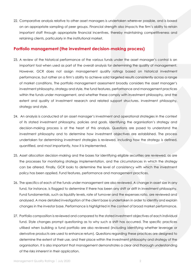22. Comparative analysis relative to other asset managers is undertaken wherever possible, and is based on an appropriate sampling of peer groups. Financial strength also impacts the firm's ability to retain important staff through appropriate financial incentives, thereby maintaining competitiveness and retaining clients, particularly in the institutional market.

### <span id="page-6-0"></span>**Portfolio management (the investment decision-making process)**

- 23. A review of the historical performance of the various funds under the asset manager's control is an important tool when used as part of the overall analysis for determining the quality of management. However, GCR does not assign management quality ratings based on historical investment performance, but rather on a firm's ability to achieve solid targeted results consistently across a range of market conditions. The portfolio management assessment broadly considers the asset manager's investment philosophy, strategy and style, the fund features, performance and management practices within the funds under management, and whether these comply with investment philosophy, and the extent and quality of investment research and related support structures. Investment philosophy, strategy and style.
- 24. An analysis is conducted of an asset manager's investment and operational strategies in the context of its stated investment philosophy, policies and goals. Identifying the organisation's strategy and decision-making process is at the heart of this analysis. Questions are posed to understand the investment philosophy and to determine how investment objectives are established. The process undertaken for determining investment strategies is reviewed, including how the strategy is defined, quantified, and most importantly, how it is implemented.
- 25. Asset allocation decision-making and the bases for identifying eligible securities are reviewed, as are the processes for monitoring strategy implementation, and the circumstances in which the strategy can be altered. Finally, GCR looks to determine the level of consistency with which the investment policy has been applied. Fund features, performance and management practices.
- 26. The specifics of each of the funds under management are also reviewed. A change in asset size in any fund, for instance, is flagged to determine if there has been any shift or drift in investment philosophy. Fund fundamentals, such as liquidity levels, rate of turnover and the expenses ratio, are reviewed and analysed. A more detailed investigation of the client base is undertaken in order to identify and explain changes in the investor base. Performance is highlighted in the context of broad market performance.
- 27. Portfolio composition is reviewed and compared to the stated investment objectives of each individual fund. Style changes prompt questioning as to why such a shift has occurred. The specific practices utilised when building a fund portfolio are also reviewed (including identifying whether leverage or derivative products are used to enhance return). Questions regarding these practices are designed to determine the extent of their use, and their place within the investment philosophy and strategy of the organisation. It is also important that management demonstrates a clear and thorough understanding of the risks inherent in their application.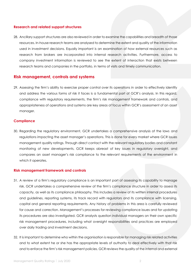#### <span id="page-7-0"></span>**Research and related support structures**

28. Ancillary support structures are also reviewed in order to examine the capabilities and breadth of those resources. In-house research teams are analysed to determine the extent and quality of the information used in investment decisions. Equally important is an examination of how external resources such as research from brokers are incorporated into internal research activities. Furthermore, access to company investment information is reviewed to see the extent of interaction that exists between research teams and companies in the portfolio, in terms of visits and timely communication.

#### <span id="page-7-1"></span>**Risk management, controls and systems**

29. Assessing the firm's ability to exercise proper control over its operations in order to effectively identify and address the various forms of risk it faces is a fundamental part of GCR's analysis. In this regard, compliance with regulatory requirements, the firm's risk management framework and controls, and appropriateness of operations and systems are key areas of focus within GCR's assessment of an asset manager.

#### <span id="page-7-2"></span>**Compliance**

30. Regarding the regulatory environment, GCR undertakes a comprehensive analysis of the laws and regulations impacting the asset manager's operations. This is done for every market where GCR issues management quality ratings. Through direct contact with the relevant regulatory bodies and constant monitoring of new developments, GCR keeps abreast of key issues in regulatory oversight, and compares an asset manager's risk compliance to the relevant requirements of the environment in which it operates.

#### <span id="page-7-3"></span>**Risk management framework and controls**

- 31. A review of a firm's regulatory compliance is an important part of assessing its capability to manage risk. GCR undertakes a comprehensive review of the firm's compliance structure in order to assess its capacity, as well as its compliance philosophy. This includes a review of its written internal procedures and guidelines, reporting systems, its track record with regulators and its compliance with licensing, capital and general reporting requirements. Any history of problems in this area is carefully reviewed for cause and correction. Management's processes for reviewing compliance issues and for updating its procedures are also investigated. GCR analysts question individual managers on their own specific risk management procedures, including what oversight responsibilities and practices are employed over daily trading and investment decisions.
- 32. It is important to determine who within the organisation is responsible for managing risk related activities and to what extent he or she has the appropriate levels of authority to deal effectively with that risk and to enforce the firm's risk management policies. GCR reviews the quality of the internal and external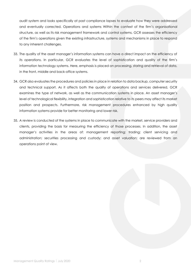audit system and looks specifically at past compliance lapses to evaluate how they were addressed and eventually corrected. Operations and systems Within the context of the firm's organisational structure, as well as its risk management framework and control systems, GCR assesses the efficiency of the firm's operations given the existing infrastructure, systems and mechanisms in place to respond to any inherent challenges.

- 33. The quality of the asset manager's information systems can have a direct impact on the efficiency of its operations. In particular, GCR evaluates the level of sophistication and quality of the firm's information technology systems. Here, emphasis is placed on processing, storing and retrieval of data, in the front, middle and back-office systems.
- 34. GCR also evaluates the procedures and policies in place in relation to data backup, computer security and technical support. As it affects both the quality of operations and services delivered, GCR examines the type of network, as well as the communication systems in place. An asset manager's level of technological flexibility, integration and sophistication relative to its peers may affect its market position and prospects. Furthermore, risk management procedures enhanced by high quality information systems provide for better monitoring and lower risk.
- 35. A review is conducted of the systems in place to communicate with the market, service providers and clients, providing the basis for measuring the efficiency of those processes. In addition, the asset manager's activities in the areas of: management reporting; trading; client servicing and administration; securities processing and custody; and asset valuation; are reviewed from an operations point of view.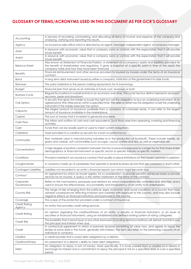# **GLOSSARY OF TERMS/ACRONYMS USED IN THIS DOCUMENT AS PER GCR'S GLOSSARY**

| Accounting                     | A process of recording, summarising, and allocating all items of income and expense of the company and<br>analysing, verifying and reporting the results.                                                                                                                                             |
|--------------------------------|-------------------------------------------------------------------------------------------------------------------------------------------------------------------------------------------------------------------------------------------------------------------------------------------------------|
| Agency                         | An insurance sales office which is directed by an agent, manager, independent agent, or company manager.                                                                                                                                                                                              |
| Asset                          | A resource with economic value that a company owns or controls with the expectation that it will provide<br>future benefit.                                                                                                                                                                           |
| Assets                         | A resource with economic value that a company owns or controls with the expectation that it will provide<br>future benefit.                                                                                                                                                                           |
| <b>Balance Sheet</b>           | Also known as Statement of Financial Position. A statement of a company's assets and liabilities provided for<br>the benefit of shareholders and regulators. It gives a snapshot at a specific point in time of the assets the<br>company holds and how they have been financed.                      |
| <b>Benefits</b>                | Financial reimbursement and other services provided to insureds by insurers under the terms of an insurance<br>contract.                                                                                                                                                                              |
| <b>Bond</b>                    | A long term debt instrument issued by either a company, institution or the government to raise funds.                                                                                                                                                                                                 |
| <b>Borrower</b>                | The party indebted or the person making repayments for its borrowings.                                                                                                                                                                                                                                |
| <b>Budget</b>                  | Financial plan that serves as an estimate of future cost, revenues or both.                                                                                                                                                                                                                           |
| <b>Business Cycle</b>          | Regular fluctuations in overall activity in an economy over time. The cycle has four distinct elements: recession,<br>recovery, peak and slowdown.                                                                                                                                                    |
| Call Option                    | A security that gives the holder or buyer the right but not the obligation to buy an underlying instrument at an<br>agreed price (the strike price) within a specified time. The seller or writer has the obligation to sell the underlying<br>instrument if the holder exercises the option.         |
| Capacity                       | The largest amount of insurance available from a company. In a broader sense, it can refer to the largest<br>amount of insurance available in the marketplace.                                                                                                                                        |
| Capital                        | The sum of money that is invested to generate proceeds.                                                                                                                                                                                                                                               |
| Cash Flow                      | The inflow and outflow of cash and cash equivalents. Such flows arise from operating, investing and financing<br>activities.                                                                                                                                                                          |
| Cash                           | Funds that can be readily spent or used to meet current obligations.                                                                                                                                                                                                                                  |
| Collateral                     | Asset provided to a creditor as security for a loan or performance.                                                                                                                                                                                                                                   |
| Commodity                      | Raw materials used in manufacturing industries or in the production of foodstuffs. These include metals, oil,<br>grains and cereals, soft commodities such as sugar, cocoa, coffee and tea, as well as vegetable oils.                                                                                |
| Concentrations                 | A high degree of positive correlation between factors or excessive exposure to a single factor that share similar<br>demographics or financial instrument or specific sector or specific industry or specific markets.                                                                                |
| Conditions                     | Provisions inserted in an insurance contract that qualify or place limitations on the insurer's promise to perform.                                                                                                                                                                                   |
| Conglomerate                   | A company made up of subsidiaries that operate in several business sectors that are unrelated to each other.                                                                                                                                                                                          |
| <b>Contingent Liabilities</b>  | Liabilities not recorded in an entity's financial reports, but which might become due.                                                                                                                                                                                                                |
| Contract                       | An agreement by which an insurer agrees, for a consideration, to provide benefits, reimburse losses or provide<br>services for an insured. A 'policy' is the written statement of the terms of the contract.                                                                                          |
| Corporate<br>Governance        | Refers to the mechanisms, processes and relations by which corporations are controlled and directed, and is<br>used to ensure the effectiveness, accountability and transparency of an entity to its stakeholders.                                                                                    |
| Country Risk                   | The range of risks emerging from the political, legal, economic and social conditions of a country that have<br>adverse consequences affecting investors and creditors with exposure to the country, and may also include<br>negative effects on financial institutions and borrowers in the country. |
| Coverage                       | The scope of the protection provided under a contract of insurance.                                                                                                                                                                                                                                   |
| <b>Credit Rating</b><br>Agency | An entity that provides credit rating services.                                                                                                                                                                                                                                                       |
| <b>Credit Rating</b>           | An opinion regarding the creditworthiness of an entity, a security or financial instrument, or an issuer of<br>securities or financial instruments, using an established and defined ranking system of rating categories.                                                                             |
| <b>Credit Risk</b>             | The possibility that a bond issuer or any other borrowers (including debtors/creditors) will default and fail to pay<br>the principal and interest when due.                                                                                                                                          |
| Credit                         | A contractual agreement in which a borrower receives something of value now, and agrees to repay the<br>lender at some date in the future, generally with interest. The term also refers to the borrowing capacity of an<br>individual or company                                                     |
| Creditor                       | A credit provider that is owed debt obligations by a debtor.                                                                                                                                                                                                                                          |
| Creditworthiness               | An assessment of a debtor's ability to meet debt obligations.                                                                                                                                                                                                                                         |
| Debt                           | An obligation to repay a sum of money. More specifically, it is funds passed from a creditor to a debtor in<br>exchange for interest and a commitment to repay the principal in full on a specified date or over a specified<br>period.                                                               |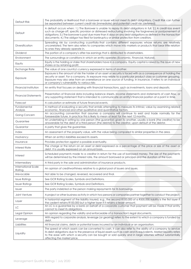| Default Risk                          | The probability or likelihood that a borrower or issuer will not meet its debt obligations. Credit Risk can further<br>be separated between current credit risk (immediate) and potential credit risk (deferred).                                                                                                                                                                                                                                    |
|---------------------------------------|------------------------------------------------------------------------------------------------------------------------------------------------------------------------------------------------------------------------------------------------------------------------------------------------------------------------------------------------------------------------------------------------------------------------------------------------------|
| Default                               | A default occurs when: 1.) The Borrower is unable to repay its debt obligations in full; 2.) A credit-loss event<br>such as charge-off, specific provision or distressed restructuring involving the forgiveness or postponement of<br>obligations; 3.) The borrower is past due more than X days on any debt obligations as defined in the transaction<br>documents; 4.) The obligor has filed for bankruptcy or similar protection from creditors. |
| Diversification                       | Spreading risk by constructing a portfolio that contains different exposures whose returns are relatively<br>uncorrelated. The term also refers to companies which move into markets or products that bear little relation<br>to ones they already operate in.                                                                                                                                                                                       |
| Dividend                              | The portion of a company's after-tax earnings that is distributed to shareholders.                                                                                                                                                                                                                                                                                                                                                                   |
| Environment                           | The surroundings or conditions in which an entity operates (Economic, Financial, Natural).                                                                                                                                                                                                                                                                                                                                                           |
| Equity                                | Equity is the holding or stake that shareholders have in a company. Equity capital is raised by the issue of new<br>shares or by retaining profit.                                                                                                                                                                                                                                                                                                   |
| Exchange Rate                         | The value of one country's currency expressed in terms of another.                                                                                                                                                                                                                                                                                                                                                                                   |
| Exposure                              | Exposure is the amount of risk the holder of an asset or security is faced with as a consequence of holding the<br>security or asset. For a company, its exposure may relate to a particular product class or customer grouping.<br>Exposure may also arise from an overreliance on one source of funding. In insurance, it refers to an individual<br>or company's vulnerability to various risks                                                   |
| Financial Institution                 | An entity that focuses on dealing with financial transactions, such as investments, loans and deposits.                                                                                                                                                                                                                                                                                                                                              |
| <b>Financial Statements</b>           | Presentation of financial data including balance sheets, income statements and statements of cash flow, or<br>any supporting statement that is intended to communicate an entity's financial position at a point in time.                                                                                                                                                                                                                            |
| Forecast                              | A calculation or estimate of future financial events.                                                                                                                                                                                                                                                                                                                                                                                                |
| Fundamental<br>Analysis               | A method of evaluating a security that entails attempting to measure its intrinsic value by examining related<br>economic, financial and other qualitative and quantitative factors.                                                                                                                                                                                                                                                                 |
| Going Concern                         | An accounting convention that assumes a company will continue to exist and trade normally for the<br>foreseeable future. In practice this is likely to mean at least for the next 12 months.                                                                                                                                                                                                                                                         |
| Guarantee                             | An undertaking in writing by one person (the guarantor) given to another, usually a bank (the creditor) to be<br>answerable for the debt of a third person (the debtor) to the creditor, upon default of the debtor.                                                                                                                                                                                                                                 |
| Guarantor                             | A party that gives the guarantee.                                                                                                                                                                                                                                                                                                                                                                                                                    |
| Index                                 | An assessment of the property value, with the value being compared to similar properties in the area.                                                                                                                                                                                                                                                                                                                                                |
| <b>Insolvency</b>                     | When an entity's liabilities exceed its assets.                                                                                                                                                                                                                                                                                                                                                                                                      |
| Insurance                             | Provides protection against a possible eventuality.                                                                                                                                                                                                                                                                                                                                                                                                  |
| <b>Interest Rate</b>                  | The charge or the return on an asset or debt expressed as a percentage of the price or size of the asset or<br>debt. It is usually expressed on an annual basis.                                                                                                                                                                                                                                                                                     |
| Interest                              | Scheduled payments made to a creditor in return for the use of borrowed money. The size of the payments<br>will be determined by the interest rate, the amount borrowed or principal and the duration of the loan.                                                                                                                                                                                                                                   |
| Intermediary                          | A third party in the sale and administration of insurance products.                                                                                                                                                                                                                                                                                                                                                                                  |
| <b>International Scale</b><br>Rating. | An opinion of creditworthiness relative to a global pool of issuers and issues.                                                                                                                                                                                                                                                                                                                                                                      |
| Irrevocable                           | Not able to be changed, reversed, recovered and final.                                                                                                                                                                                                                                                                                                                                                                                               |
| <b>Issue Ratings</b>                  | See GCR Rating Scales, Symbols and Definitions.                                                                                                                                                                                                                                                                                                                                                                                                      |
| <b>Issuer Ratings</b>                 | See GCR Rating Scales, Symbols and Definitions.                                                                                                                                                                                                                                                                                                                                                                                                      |
| <b>Issuer</b>                         | The party indebted or the person making repayments for its borrowings.                                                                                                                                                                                                                                                                                                                                                                               |
| Joint Venture                         | A project or other business activity in which two persons or companies partner together to conduct the project.                                                                                                                                                                                                                                                                                                                                      |
| Layer                                 | A horizontal segment of the liability insured, e.g., the second R100,000 of a R500,000 liability is the first layer if<br>the cedent retains R100,000 but a higher layer if it retains a lesser amount.                                                                                                                                                                                                                                              |
| LC                                    | An LC is a guarantee by a bank on behalf of a corporate customer that payment will be made if that entity<br>cannot to meet its obligations.                                                                                                                                                                                                                                                                                                         |
| Legal Opinion                         | An opinion regarding the validity and enforceable of a transaction's legal documents.                                                                                                                                                                                                                                                                                                                                                                |
| Leverage                              | With regard to corporate analysis, leverage (or gearing) refers to the extent to which a company is funded by<br>debt.                                                                                                                                                                                                                                                                                                                               |
| Liabilities                           | All financial claims, debts or potential losses incurred by an individual or an organisation.                                                                                                                                                                                                                                                                                                                                                        |
| Liquidity                             | The speed at which assets can be converted to cash. It can also refer to the ability of a company to service<br>its debt obligations due to the presence of liquid assets such as cash and its equivalents. Market liquidity refers<br>to the ease with which a security can be bought or sold quickly and in large volumes without substantially<br>affecting the market price.                                                                     |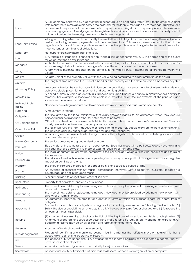| Loan                     | A sum of money borrowed by a debtor that is expected to be paid back with interest to the creditor. A debt<br>instrument where immovable property is the collateral for the loan. A mortgage gives the lender a right to take<br>possession of the property if the borrower fails to repay the loan. Registration is a prerequisite for the existence<br>of any mortgage loan. A mortgage can be registered over either a corporeal or incorporeal property, even if<br>it does not belong to the mortgagee. Also called a Mortgage bond. |
|--------------------------|-------------------------------------------------------------------------------------------------------------------------------------------------------------------------------------------------------------------------------------------------------------------------------------------------------------------------------------------------------------------------------------------------------------------------------------------------------------------------------------------------------------------------------------------|
| Long-Term Rating         | A long term rating reflects an issuer's ability to meet its financial obligations over the following three to five year<br>period, including interest payments and debt redemptions. This encompasses an evaluation of the<br>organisation's current financial position, as well as how the position may change in the future with regard to<br>meeting longer term financial obligations.                                                                                                                                                |
| Long-Term                | Not current; ordinarily more than one year.                                                                                                                                                                                                                                                                                                                                                                                                                                                                                               |
| Loss                     | 1. A tangible or intangible, financial or non-financial loss of economic value. 2. The happening of the event<br>for which insurance pays (insurance).                                                                                                                                                                                                                                                                                                                                                                                    |
| Mandate                  | Authorisation or instruction to proceed with an undertaking or to take a course of action. A borrower, for<br>example, might instruct the lead manager of a bond issue to proceed on the terms agreed.                                                                                                                                                                                                                                                                                                                                    |
| Margin                   | A term whose meaning depends on the context. In the widest sense, it means the difference between two<br>values.                                                                                                                                                                                                                                                                                                                                                                                                                          |
| Market                   | An assessment of the property value, with the value being compared to similar properties in the area.                                                                                                                                                                                                                                                                                                                                                                                                                                     |
| Maturity                 | The length of time between the issue of a bond or other security and the date on which it becomes payable<br>in full.                                                                                                                                                                                                                                                                                                                                                                                                                     |
| Monetary Policy          | Measures taken by the central bank to influence the quantity of money or the rate of interest with a view to<br>achieving stable prices, full employment and economic growth.                                                                                                                                                                                                                                                                                                                                                             |
| Moratorium               | A period of time in which an activity is suspended until such time as a change in circumstances permits its<br>removal. For example, a borrower can declare a moratorium on the repayments of the principal, and<br>sometimes the interest, on a loan.                                                                                                                                                                                                                                                                                    |
| National Scale<br>Rating | National scale ratings measure creditworthiness relative to issuers and issues within one country.                                                                                                                                                                                                                                                                                                                                                                                                                                        |
| Notching                 | A movement in ratings.                                                                                                                                                                                                                                                                                                                                                                                                                                                                                                                    |
| Obligation               | The title given to the legal relationship that exists between parties to an agreement when they acquire<br>personal rights against each other for entitlement to perform.                                                                                                                                                                                                                                                                                                                                                                 |
| Off Balance Sheet        | Off balance sheet items are assets or liabilities that are not shown on a company's balance sheet. They are<br>usually referred to in the notes to a company's accounts.                                                                                                                                                                                                                                                                                                                                                                  |
| <b>Operational Risk</b>  | The risk of loss resulting from inadequate or failed internal processes, people or systems or from external events.<br>This includes legal risk, but excludes strategic risk and reputational risk.                                                                                                                                                                                                                                                                                                                                       |
| Option                   | An option gives the buyer or holder the right, but not the obligation, to buy or sell an underlying financial asset<br>at a pre-determined price.                                                                                                                                                                                                                                                                                                                                                                                         |
| <b>Parent Company</b>    | The senior company in a group or fleet of insurers.                                                                                                                                                                                                                                                                                                                                                                                                                                                                                       |
| Pari Passu               | Side by side; at the same rate or on an equal footing. Securities issued with a pari passu clause have rights and<br>privileges that are equivalent to those of existing securities of the same class.                                                                                                                                                                                                                                                                                                                                    |
| Policy                   | The legal document issued by the company to the policyholder, which outlines the conditions and terms of<br>the insurance.                                                                                                                                                                                                                                                                                                                                                                                                                |
| <b>Political Risk</b>    | The risk associated with investing and operating in a country where political changes may have a negative<br>impact on earnings or returns.                                                                                                                                                                                                                                                                                                                                                                                               |
| Premium                  | The price of insurance protection for a specified risk for a specified period of time.                                                                                                                                                                                                                                                                                                                                                                                                                                                    |
| Private                  | An issuance of securities without market participation, however, with a select few investors. Placed on a<br>private basis and not in the open market.                                                                                                                                                                                                                                                                                                                                                                                    |
| Ranking                  | A priority applied to obligations in order of seniority.                                                                                                                                                                                                                                                                                                                                                                                                                                                                                  |
| <b>Real Estate</b>       | Property that consists of land and / or buildings.                                                                                                                                                                                                                                                                                                                                                                                                                                                                                        |
| Refinance                | The issue of new debt to replace maturing debt. New debt may be provided by existing or new lenders, with<br>a new set of terms in place.                                                                                                                                                                                                                                                                                                                                                                                                 |
| Refinancing              | The issue of new debt to replace maturing debt. New debt may be provided by existing or new lenders, with<br>a new set of terms in place.                                                                                                                                                                                                                                                                                                                                                                                                 |
| Release                  | An agreement between the creditor and debtor, in terms of which the creditor release the debtor from its<br>obligations.                                                                                                                                                                                                                                                                                                                                                                                                                  |
| Repayment                | Payment made to honour obligations in regards to a credit agreement in the following credited order: 3.)<br>Satisfy the due or unpaid interest charges; 4.) Satisfy the due or unpaid fees or charges; and 5.) To reduce the<br>amount of the principal debt.                                                                                                                                                                                                                                                                             |
| Reserve                  | (1) An amount representing actual or potential liabilities kept by an insurer to cover debts to policyholders. (2)<br>An amount allocated for a special purpose. Note that a reserve is usually a liability and not an extra fund. On<br>occasion a reserve may be an asset, such as a reserve for taxes not yet due.                                                                                                                                                                                                                     |
| Reserves                 | A portion of funds allocated for an eventuality.                                                                                                                                                                                                                                                                                                                                                                                                                                                                                          |
| Risk Management          | Process of identifying and monitoring business risks in a manner that offers a risk/return relationship that is<br>acceptable to an entity's operating philosophy.                                                                                                                                                                                                                                                                                                                                                                        |
| <b>Risk</b>              | The chance of future uncertainty (i.e. deviation from expected earnings or an expected outcome) that will<br>have an impact on objectives.                                                                                                                                                                                                                                                                                                                                                                                                |
| Senior                   | A security that has a higher repayment priority than junior securities.                                                                                                                                                                                                                                                                                                                                                                                                                                                                   |
| Shareholder              | An individual, entity or financial institution that holds shares or stock in an organisation or company.                                                                                                                                                                                                                                                                                                                                                                                                                                  |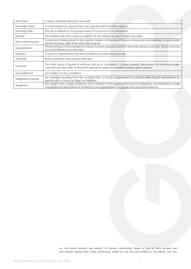| <b>Short Term</b>         | Current; ordinarily less than one year.                                                                                                                                                                   |
|---------------------------|-----------------------------------------------------------------------------------------------------------------------------------------------------------------------------------------------------------|
| Sovereign Debt            | A bond issued by a government or a government-backed agency.                                                                                                                                              |
| Sovereign Risk            | The risk of default by the government of a country on its obligations.                                                                                                                                    |
| Spread                    | The interest rate that is paid in addition to the reference rate for debt securities.                                                                                                                     |
| <b>Structured Finance</b> | A method of raising funds in the capital markets. A Structured Finance transaction is established to accomplish<br>certain funding objectives whist reducing risk.                                        |
| Subordination             | The prioritising of the payment of interest and principal payments to tranches (senior, junior etc. Senior tranches<br>are paid before junior tranches.                                                   |
| Taxation                  | A source of government revenue levied on income and accruals.                                                                                                                                             |
| <b>Total Risk</b>         | Both systematic and unsystematic risks.                                                                                                                                                                   |
| Turnover                  | The total value of goods or services sold by a company in a given period. Also known as revenue or sales.<br>Turnover can also refer to the total volume of trades in a market during a given period.     |
| Unconditional             | Not subject to any conditions.                                                                                                                                                                            |
| Weighted Average          | An average resulting from the multiplication of each component by a factor reflecting its importance or,<br>relative size to a pool of assets or liabilities.                                             |
| Weighted                  | The weight that a single obligation has in relation to the aggregated pool of obligations. For example, a single<br>mortgage principal balance divided by the aggregated mortgage pool principal balance. |

ALL GCR CREDIT RATINGS ARE SUBJECT TO CERTAIN LIMITATIONS, TERMS OF USE OF SUCH RATINGS AND DISCLAIMERS. PLEASE READ THESE LIMITATIONS, TERMS OF USE AND DISCLAIMERS BY FOLLOWING THIS LINK: